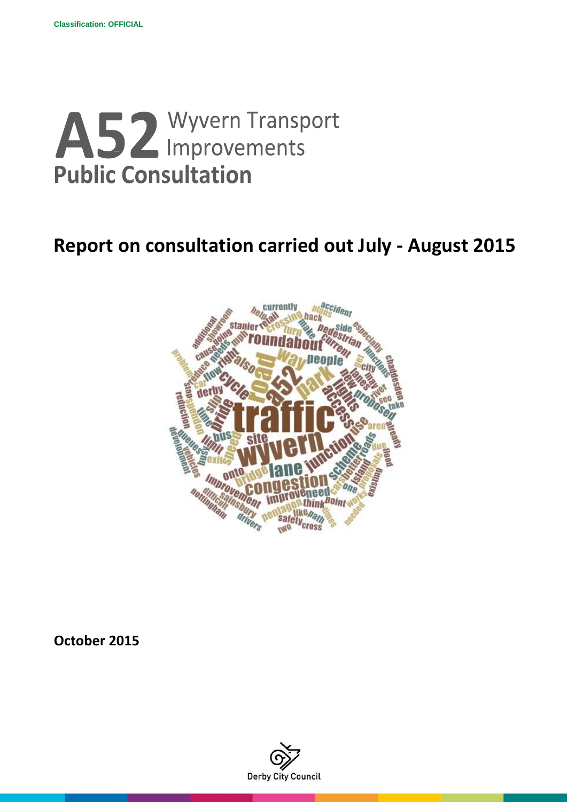# A52 Wyvern Transport **Public Consultation**

# **Report on consultation carried out July - August 2015**



**October 2015**

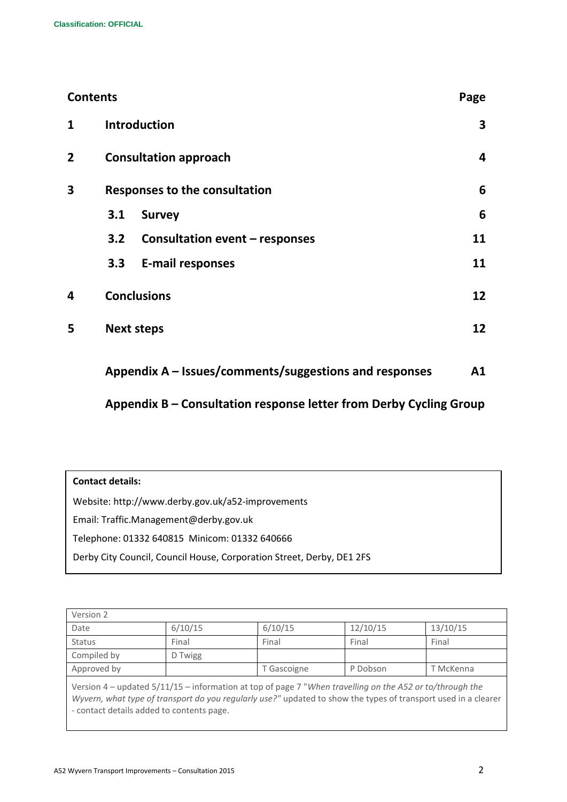| <b>Contents</b> |                              |                                                        | Page |
|-----------------|------------------------------|--------------------------------------------------------|------|
| 1               |                              | <b>Introduction</b>                                    | 3    |
| $\overline{2}$  | <b>Consultation approach</b> |                                                        | 4    |
| 3               |                              | <b>Responses to the consultation</b>                   | 6    |
|                 | 3.1                          | <b>Survey</b>                                          | 6    |
|                 | 3.2                          | <b>Consultation event - responses</b>                  | 11   |
|                 | 3.3                          | <b>E-mail responses</b>                                | 11   |
| 4               |                              | <b>Conclusions</b>                                     | 12   |
| 5               |                              | <b>Next steps</b>                                      | 12   |
|                 |                              | Appendix A – Issues/comments/suggestions and responses | A1   |

# **Appendix B – Consultation response letter from Derby Cycling Group**

| <b>Contact details:</b>                                               |  |  |
|-----------------------------------------------------------------------|--|--|
| Website: http://www.derby.gov.uk/a52-improvements                     |  |  |
| Email: Traffic.Management@derby.gov.uk                                |  |  |
| Telephone: 01332 640815 Minicom: 01332 640666                         |  |  |
| Derby City Council, Council House, Corporation Street, Derby, DE1 2FS |  |  |

| Version 2                                                                                                                                                                                                                                                               |         |             |          |           |
|-------------------------------------------------------------------------------------------------------------------------------------------------------------------------------------------------------------------------------------------------------------------------|---------|-------------|----------|-----------|
| Date                                                                                                                                                                                                                                                                    | 6/10/15 | 6/10/15     | 12/10/15 | 13/10/15  |
| <b>Status</b>                                                                                                                                                                                                                                                           | Final   | Final       | Final    | Final     |
| Compiled by                                                                                                                                                                                                                                                             | D Twigg |             |          |           |
| Approved by                                                                                                                                                                                                                                                             |         | T Gascoigne | P Dobson | T McKenna |
| Version 4 - updated 5/11/15 - information at top of page 7 "When travelling on the A52 or to/through the<br>Wyvern, what type of transport do you regularly use?" updated to show the types of transport used in a clearer<br>- contact details added to contents page. |         |             |          |           |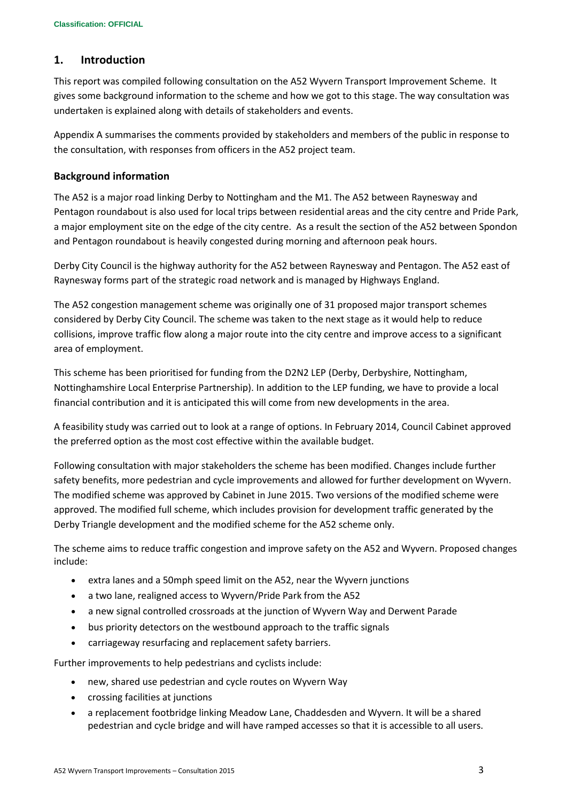## **1. Introduction**

This report was compiled following consultation on the A52 Wyvern Transport Improvement Scheme. It gives some background information to the scheme and how we got to this stage. The way consultation was undertaken is explained along with details of stakeholders and events.

Appendix A summarises the comments provided by stakeholders and members of the public in response to the consultation, with responses from officers in the A52 project team.

#### **Background information**

The A52 is a major road linking Derby to Nottingham and the M1. The A52 between Raynesway and Pentagon roundabout is also used for local trips between residential areas and the city centre and Pride Park, a major employment site on the edge of the city centre. As a result the section of the A52 between Spondon and Pentagon roundabout is heavily congested during morning and afternoon peak hours.

Derby City Council is the highway authority for the A52 between Raynesway and Pentagon. The A52 east of Raynesway forms part of the strategic road network and is managed by Highways England.

The A52 congestion management scheme was originally one of 31 proposed major transport schemes considered by Derby City Council. The scheme was taken to the next stage as it would help to reduce collisions, improve traffic flow along a major route into the city centre and improve access to a significant area of employment.

This scheme has been prioritised for funding from the D2N2 LEP (Derby, Derbyshire, Nottingham, Nottinghamshire Local Enterprise Partnership). In addition to the LEP funding, we have to provide a local financial contribution and it is anticipated this will come from new developments in the area.

A feasibility study was carried out to look at a range of options. In February 2014, Council Cabinet approved the preferred option as the most cost effective within the available budget.

Following consultation with major stakeholders the scheme has been modified. Changes include further safety benefits, more pedestrian and cycle improvements and allowed for further development on Wyvern. The modified scheme was approved by Cabinet in June 2015. Two versions of the modified scheme were approved. The modified full scheme, which includes provision for development traffic generated by the Derby Triangle development and the modified scheme for the A52 scheme only.

The scheme aims to reduce traffic congestion and improve safety on the A52 and Wyvern. Proposed changes include:

- extra lanes and a 50mph speed limit on the A52, near the Wyvern junctions
- a two lane, realigned access to Wyvern/Pride Park from the A52
- a new signal controlled crossroads at the junction of Wyvern Way and Derwent Parade
- bus priority detectors on the westbound approach to the traffic signals
- carriageway resurfacing and replacement safety barriers.

Further improvements to help pedestrians and cyclists include:

- new, shared use pedestrian and cycle routes on Wyvern Way
- crossing facilities at junctions
- a replacement footbridge linking Meadow Lane, Chaddesden and Wyvern. It will be a shared pedestrian and cycle bridge and will have ramped accesses so that it is accessible to all users.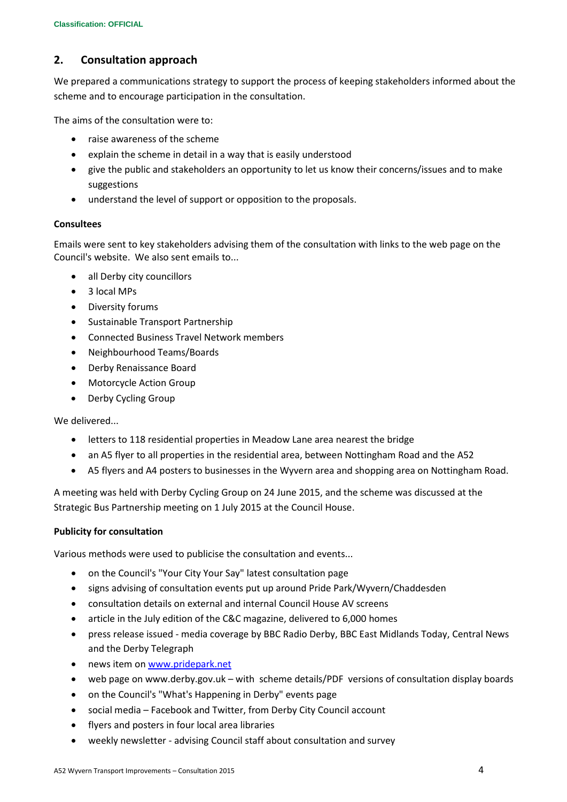# **2. Consultation approach**

We prepared a communications strategy to support the process of keeping stakeholders informed about the scheme and to encourage participation in the consultation.

The aims of the consultation were to:

- raise awareness of the scheme
- explain the scheme in detail in a way that is easily understood
- give the public and stakeholders an opportunity to let us know their concerns/issues and to make suggestions
- understand the level of support or opposition to the proposals.

#### **Consultees**

Emails were sent to key stakeholders advising them of the consultation with links to the web page on the Council's website. We also sent emails to...

- all Derby city councillors
- 3 local MPs
- Diversity forums
- Sustainable Transport Partnership
- Connected Business Travel Network members
- Neighbourhood Teams/Boards
- Derby Renaissance Board
- Motorcycle Action Group
- Derby Cycling Group

We delivered...

- letters to 118 residential properties in Meadow Lane area nearest the bridge
- an A5 flyer to all properties in the residential area, between Nottingham Road and the A52
- A5 flyers and A4 posters to businesses in the Wyvern area and shopping area on Nottingham Road.

A meeting was held with Derby Cycling Group on 24 June 2015, and the scheme was discussed at the Strategic Bus Partnership meeting on 1 July 2015 at the Council House.

#### **Publicity for consultation**

Various methods were used to publicise the consultation and events...

- on the Council's "Your City Your Say" latest consultation page
- signs advising of consultation events put up around Pride Park/Wyvern/Chaddesden
- consultation details on external and internal Council House AV screens
- article in the July edition of the C&C magazine, delivered to 6,000 homes
- press release issued media coverage by BBC Radio Derby, BBC East Midlands Today, Central News and the Derby Telegraph
- news item o[n www.pridepark.net](http://www.pridepark.net/)
- web page on www.derby.gov.uk with scheme details/PDF versions of consultation display boards
- on the Council's "What's Happening in Derby" events page
- social media Facebook and Twitter, from Derby City Council account
- flyers and posters in four local area libraries
- weekly newsletter advising Council staff about consultation and survey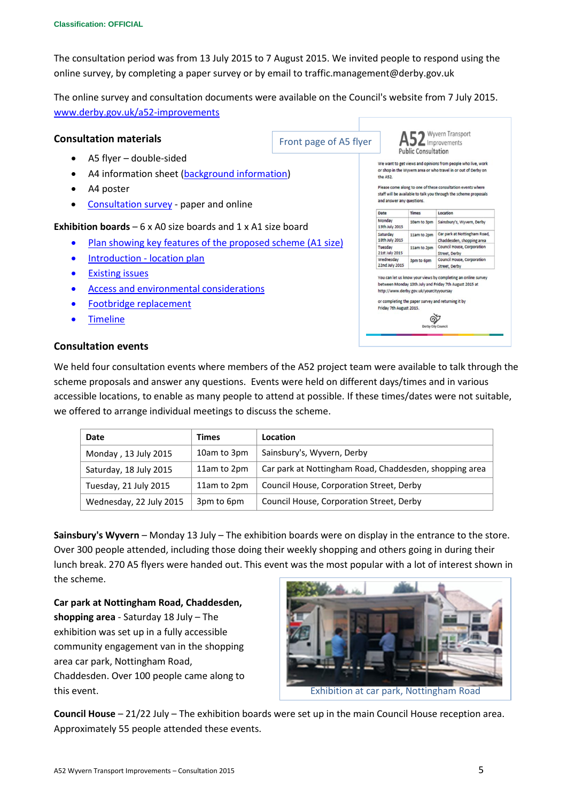The consultation period was from 13 July 2015 to 7 August 2015. We invited people to respond using the online survey, by completing a paper survey or by email to traffic.management@derby.gov.uk

The online survey and consultation documents were available on the Council's website from 7 July 2015. [www.derby.gov.uk/a52-improvements](http://www.derby.gov.uk/a52-improvements)

#### **Consultation materials**

Front page of A5 flyer

Wyvern Transport  $52$  Improvements **Public Consultation** 

We want to get views and opinions from people who live, work or shop in the Wwern area or who travel in or out of Derby on the AS2

Please come along to one of these consultation events where staff will be available to talk you through the scheme proposals and answer any questions.

|                             | <b>Times</b>                            | Location                                                                                                                |
|-----------------------------|-----------------------------------------|-------------------------------------------------------------------------------------------------------------------------|
| Monday<br>13th July 2015    | 10am to 3pm                             | Sainsbury's, Wyvern, Derby                                                                                              |
| Saturday<br>18th July 2015  | 11am to 2pm                             | Car park at Nottingham Road.<br>Chaddesden, shopping area                                                               |
| Tuesday<br>21st July 2015   | 11am to 2pm                             | <b>Council House, Corporation</b><br>Street, Derby                                                                      |
| Wednesday<br>22nd July 2015 | 3pm to 6pm                              | Council House, Corporation<br>Street, Derby                                                                             |
|                             |                                         |                                                                                                                         |
|                             | http://www.derby.gov.uk/yourcityyoursay | You can let us know your views by completing an online survey<br>between Monday 13th July and Friday 7th August 2015 at |
|                             |                                         |                                                                                                                         |
| Friday 7th August 2015.     |                                         | or completing the paper survey and returning it by                                                                      |
|                             |                                         |                                                                                                                         |
|                             | Derby City Council                      |                                                                                                                         |

# A5 flyer – double-sided

- A4 information sheet [\(background information\)](http://www.derby.gov.uk/media/derbycitycouncil/contentassets/documents/transport/More-information-about-the-A52-Wyvern-Transport-Improvement-scheme.pdf)
- A4 poster
- [Consultation survey](http://www.derby.gov.uk/media/derbycitycouncil/contentassets/documents/transport/A52-Wyvern-consultation-questionnaire.pdf) paper and online

#### **Exhibition boards** – 6 x A0 size boards and 1 x A1 size boar[d](http://www.derby.gov.uk/media/derbycitycouncil/contentassets/documents/transport/A52-Wyvern-Location-Plan.pdf)

- [Plan showing key features of the proposed scheme](http://www.derby.gov.uk/media/derbycitycouncil/contentassets/documents/transport/A52-Wyvern-Proposed-Layout.pdf) (A1 size)
- [Introduction -](http://www.derby.gov.uk/media/derbycitycouncil/contentassets/documents/transport/A52-Wyvern-Location-Plan.pdf) location plan
- Existing issues
- [Access and environmental considerations](http://www.derby.gov.uk/media/derbycitycouncil/contentassets/documents/transport/A52-Wyvern-Access-and-Environmental-Considerations.pdf)
- [Footbridge replacement](http://www.derby.gov.uk/media/derbycitycouncil/contentassets/documents/transport/HD12092-P&C-06%20Bridge%20Option.pdf)
- **[Timeline](http://www.derby.gov.uk/media/derbycitycouncil/contentassets/documents/transport/A52-Wyvern-Timeline.pdf)**

#### **Consultation events**

We held four consultation events where members of the A52 project team were available to talk through the scheme proposals and answer any questions. Events were held on different days/times and in various accessible locations, to enable as many people to attend at possible. If these times/dates were not suitable, we offered to arrange individual meetings to discuss the scheme.

| Date                    | <b>Times</b> | Location                                               |
|-------------------------|--------------|--------------------------------------------------------|
| Monday, 13 July 2015    | 10am to 3pm  | Sainsbury's, Wyvern, Derby                             |
| Saturday, 18 July 2015  | 11am to 2pm  | Car park at Nottingham Road, Chaddesden, shopping area |
| Tuesday, 21 July 2015   | 11am to 2pm  | Council House, Corporation Street, Derby               |
| Wednesday, 22 July 2015 | 3pm to 6pm   | Council House, Corporation Street, Derby               |

**Sainsbury's Wyvern** – Monday 13 July – The exhibition boards were on display in the entrance to the store. Over 300 people attended, including those doing their weekly shopping and others going in during their lunch break. 270 A5 flyers were handed out. This event was the most popular with a lot of interest shown in the scheme.

**Car park at Nottingham Road, Chaddesden, shopping area** - Saturday 18 July – The exhibition was set up in a fully accessible community engagement van in the shopping area car park, Nottingham Road, Chaddesden. Over 100 people came along to this event.



**Council House** – 21/22 July – The exhibition boards were set up in the main Council House reception area. Approximately 55 people attended these events.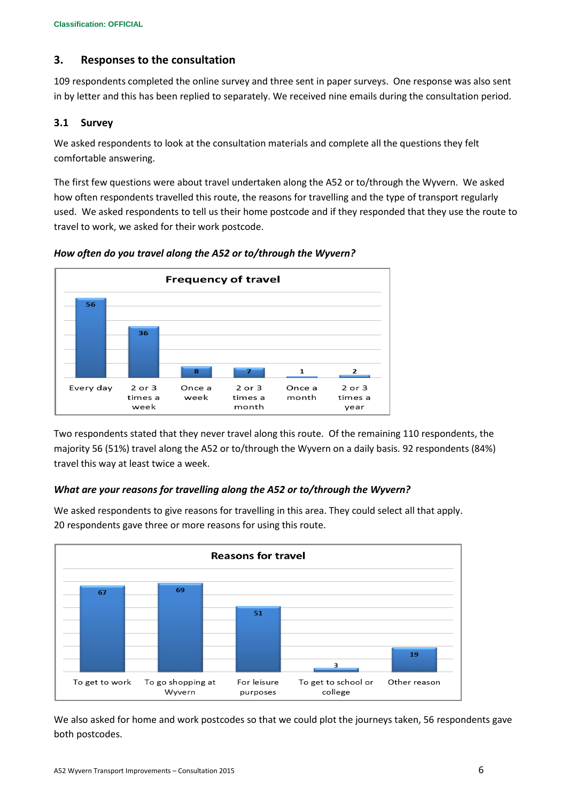# **3. Responses to the consultation**

109 respondents completed the online survey and three sent in paper surveys. One response was also sent in by letter and this has been replied to separately. We received nine emails during the consultation period.

# **3.1 Survey**

We asked respondents to look at the consultation materials and complete all the questions they felt comfortable answering.

The first few questions were about travel undertaken along the A52 or to/through the Wyvern. We asked how often respondents travelled this route, the reasons for travelling and the type of transport regularly used. We asked respondents to tell us their home postcode and if they responded that they use the route to travel to work, we asked for their work postcode.



*How often do you travel along the A52 or to/through the Wyvern?*

Two respondents stated that they never travel along this route. Of the remaining 110 respondents, the majority 56 (51%) travel along the A52 or to/through the Wyvern on a daily basis. 92 respondents (84%) travel this way at least twice a week.

# *What are your reasons for travelling along the A52 or to/through the Wyvern?*



We asked respondents to give reasons for travelling in this area. They could select all that apply. 20 respondents gave three or more reasons for using this route.

We also asked for home and work postcodes so that we could plot the journeys taken, 56 respondents gave both postcodes.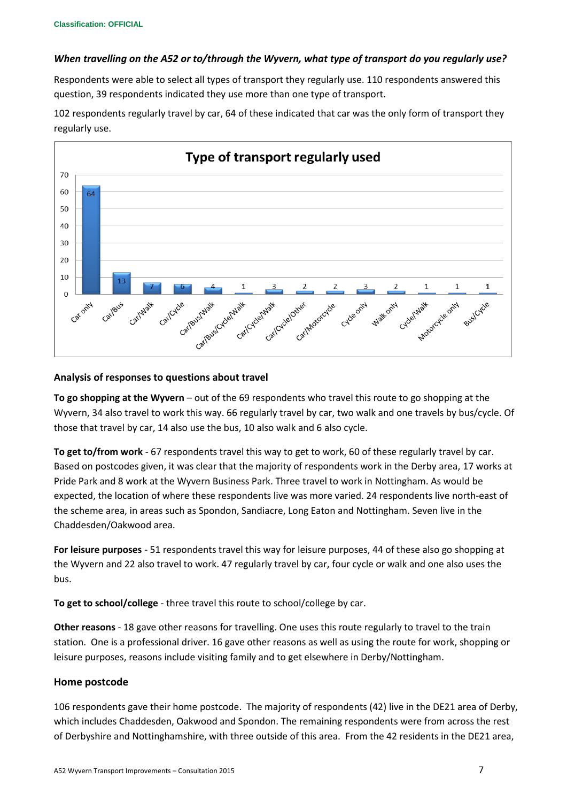#### *When travelling on the A52 or to/through the Wyvern, what type of transport do you regularly use?*

Respondents were able to select all types of transport they regularly use. 110 respondents answered this question, 39 respondents indicated they use more than one type of transport.

102 respondents regularly travel by car, 64 of these indicated that car was the only form of transport they regularly use.



#### **Analysis of responses to questions about travel**

**To go shopping at the Wyvern** – out of the 69 respondents who travel this route to go shopping at the Wyvern, 34 also travel to work this way. 66 regularly travel by car, two walk and one travels by bus/cycle. Of those that travel by car, 14 also use the bus, 10 also walk and 6 also cycle.

**To get to/from work** - 67 respondents travel this way to get to work, 60 of these regularly travel by car. Based on postcodes given, it was clear that the majority of respondents work in the Derby area, 17 works at Pride Park and 8 work at the Wyvern Business Park. Three travel to work in Nottingham. As would be expected, the location of where these respondents live was more varied. 24 respondents live north-east of the scheme area, in areas such as Spondon, Sandiacre, Long Eaton and Nottingham. Seven live in the Chaddesden/Oakwood area.

**For leisure purposes** - 51 respondents travel this way for leisure purposes, 44 of these also go shopping at the Wyvern and 22 also travel to work. 47 regularly travel by car, four cycle or walk and one also uses the bus.

**To get to school/college** - three travel this route to school/college by car.

**Other reasons** - 18 gave other reasons for travelling. One uses this route regularly to travel to the train station. One is a professional driver. 16 gave other reasons as well as using the route for work, shopping or leisure purposes, reasons include visiting family and to get elsewhere in Derby/Nottingham.

#### **Home postcode**

106 respondents gave their home postcode. The majority of respondents (42) live in the DE21 area of Derby, which includes Chaddesden, Oakwood and Spondon. The remaining respondents were from across the rest of Derbyshire and Nottinghamshire, with three outside of this area. From the 42 residents in the DE21 area,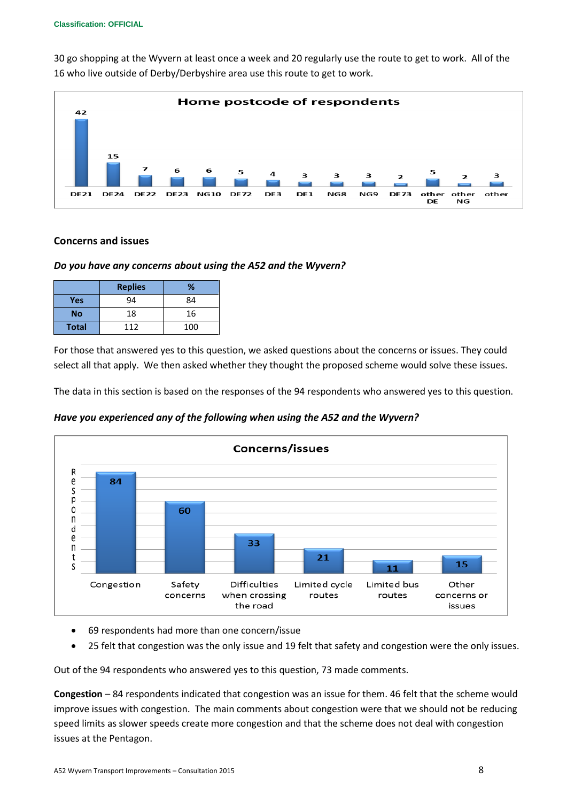30 go shopping at the Wyvern at least once a week and 20 regularly use the route to get to work. All of the 16 who live outside of Derby/Derbyshire area use this route to get to work.



#### **Concerns and issues**

## *Do you have any concerns about using the A52 and the Wyvern?*

|              | <b>Replies</b> | %   |
|--------------|----------------|-----|
| <b>Yes</b>   | 94             | 84  |
| <b>No</b>    | 18             | 16  |
| <b>Total</b> | 112            | 100 |

For those that answered yes to this question, we asked questions about the concerns or issues. They could select all that apply. We then asked whether they thought the proposed scheme would solve these issues.

The data in this section is based on the responses of the 94 respondents who answered yes to this question.

*Have you experienced any of the following when using the A52 and the Wyvern?*



- 69 respondents had more than one concern/issue
- 25 felt that congestion was the only issue and 19 felt that safety and congestion were the only issues.

Out of the 94 respondents who answered yes to this question, 73 made comments.

**Congestion** – 84 respondents indicated that congestion was an issue for them. 46 felt that the scheme would improve issues with congestion. The main comments about congestion were that we should not be reducing speed limits as slower speeds create more congestion and that the scheme does not deal with congestion issues at the Pentagon.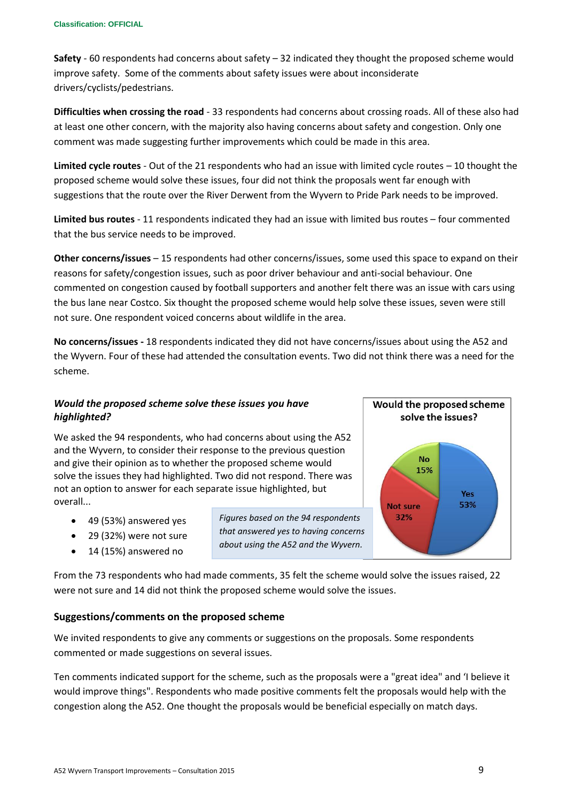**Safety** - 60 respondents had concerns about safety – 32 indicated they thought the proposed scheme would improve safety. Some of the comments about safety issues were about inconsiderate drivers/cyclists/pedestrians.

**Difficulties when crossing the road** - 33 respondents had concerns about crossing roads. All of these also had at least one other concern, with the majority also having concerns about safety and congestion. Only one comment was made suggesting further improvements which could be made in this area.

**Limited cycle routes** - Out of the 21 respondents who had an issue with limited cycle routes – 10 thought the proposed scheme would solve these issues, four did not think the proposals went far enough with suggestions that the route over the River Derwent from the Wyvern to Pride Park needs to be improved.

**Limited bus routes** - 11 respondents indicated they had an issue with limited bus routes – four commented that the bus service needs to be improved.

**Other concerns/issues** – 15 respondents had other concerns/issues, some used this space to expand on their reasons for safety/congestion issues, such as poor driver behaviour and anti-social behaviour. One commented on congestion caused by football supporters and another felt there was an issue with cars using the bus lane near Costco. Six thought the proposed scheme would help solve these issues, seven were still not sure. One respondent voiced concerns about wildlife in the area.

**No concerns/issues -** 18 respondents indicated they did not have concerns/issues about using the A52 and the Wyvern. Four of these had attended the consultation events. Two did not think there was a need for the scheme.

# *Would the proposed scheme solve these issues you have highlighted?*

We asked the 94 respondents, who had concerns about using the A52 and the Wyvern, to consider their response to the previous question and give their opinion as to whether the proposed scheme would solve the issues they had highlighted. Two did not respond. There was not an option to answer for each separate issue highlighted, but overall...

- 49 (53%) answered yes
- 29 (32%) were not sure
- 14 (15%) answered no

*Figures based on the 94 respondents that answered yes to having concerns about using the A52 and the Wyvern.*



From the 73 respondents who had made comments, 35 felt the scheme would solve the issues raised, 22 were not sure and 14 did not think the proposed scheme would solve the issues.

#### **Suggestions/comments on the proposed scheme**

We invited respondents to give any comments or suggestions on the proposals. Some respondents commented or made suggestions on several issues.

Ten comments indicated support for the scheme, such as the proposals were a "great idea" and 'I believe it would improve things". Respondents who made positive comments felt the proposals would help with the congestion along the A52. One thought the proposals would be beneficial especially on match days.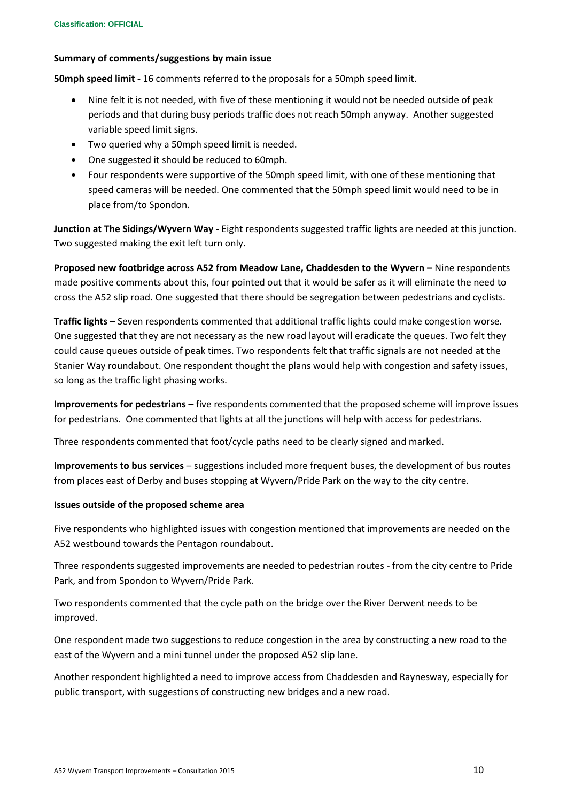#### **Summary of comments/suggestions by main issue**

**50mph speed limit -** 16 comments referred to the proposals for a 50mph speed limit.

- Nine felt it is not needed, with five of these mentioning it would not be needed outside of peak periods and that during busy periods traffic does not reach 50mph anyway. Another suggested variable speed limit signs.
- Two queried why a 50mph speed limit is needed.
- One suggested it should be reduced to 60mph.
- Four respondents were supportive of the 50mph speed limit, with one of these mentioning that speed cameras will be needed. One commented that the 50mph speed limit would need to be in place from/to Spondon.

**Junction at The Sidings/Wyvern Way -** Eight respondents suggested traffic lights are needed at this junction. Two suggested making the exit left turn only.

**Proposed new footbridge across A52 from Meadow Lane, Chaddesden to the Wyvern –** Nine respondents made positive comments about this, four pointed out that it would be safer as it will eliminate the need to cross the A52 slip road. One suggested that there should be segregation between pedestrians and cyclists.

**Traffic lights** – Seven respondents commented that additional traffic lights could make congestion worse. One suggested that they are not necessary as the new road layout will eradicate the queues. Two felt they could cause queues outside of peak times. Two respondents felt that traffic signals are not needed at the Stanier Way roundabout. One respondent thought the plans would help with congestion and safety issues, so long as the traffic light phasing works.

**Improvements for pedestrians** – five respondents commented that the proposed scheme will improve issues for pedestrians. One commented that lights at all the junctions will help with access for pedestrians.

Three respondents commented that foot/cycle paths need to be clearly signed and marked.

**Improvements to bus services** – suggestions included more frequent buses, the development of bus routes from places east of Derby and buses stopping at Wyvern/Pride Park on the way to the city centre.

#### **Issues outside of the proposed scheme area**

Five respondents who highlighted issues with congestion mentioned that improvements are needed on the A52 westbound towards the Pentagon roundabout.

Three respondents suggested improvements are needed to pedestrian routes - from the city centre to Pride Park, and from Spondon to Wyvern/Pride Park.

Two respondents commented that the cycle path on the bridge over the River Derwent needs to be improved.

One respondent made two suggestions to reduce congestion in the area by constructing a new road to the east of the Wyvern and a mini tunnel under the proposed A52 slip lane.

Another respondent highlighted a need to improve access from Chaddesden and Raynesway, especially for public transport, with suggestions of constructing new bridges and a new road.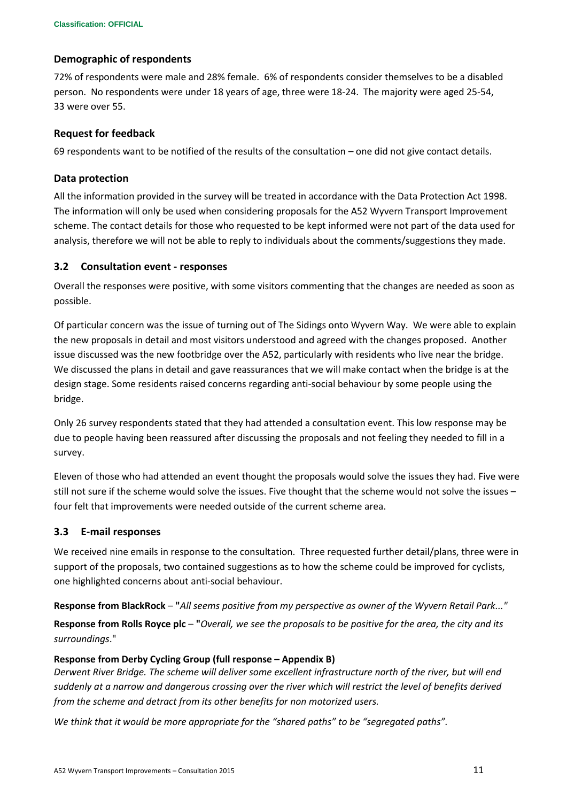#### **Demographic of respondents**

72% of respondents were male and 28% female. 6% of respondents consider themselves to be a disabled person. No respondents were under 18 years of age, three were 18-24. The majority were aged 25-54, 33 were over 55.

#### **Request for feedback**

69 respondents want to be notified of the results of the consultation – one did not give contact details.

#### **Data protection**

All the information provided in the survey will be treated in accordance with the Data Protection Act 1998. The information will only be used when considering proposals for the A52 Wyvern Transport Improvement scheme. The contact details for those who requested to be kept informed were not part of the data used for analysis, therefore we will not be able to reply to individuals about the comments/suggestions they made.

#### **3.2 Consultation event - responses**

Overall the responses were positive, with some visitors commenting that the changes are needed as soon as possible.

Of particular concern was the issue of turning out of The Sidings onto Wyvern Way. We were able to explain the new proposals in detail and most visitors understood and agreed with the changes proposed. Another issue discussed was the new footbridge over the A52, particularly with residents who live near the bridge. We discussed the plans in detail and gave reassurances that we will make contact when the bridge is at the design stage. Some residents raised concerns regarding anti-social behaviour by some people using the bridge.

Only 26 survey respondents stated that they had attended a consultation event. This low response may be due to people having been reassured after discussing the proposals and not feeling they needed to fill in a survey.

Eleven of those who had attended an event thought the proposals would solve the issues they had. Five were still not sure if the scheme would solve the issues. Five thought that the scheme would not solve the issues – four felt that improvements were needed outside of the current scheme area.

#### **3.3 E-mail responses**

We received nine emails in response to the consultation. Three requested further detail/plans, three were in support of the proposals, two contained suggestions as to how the scheme could be improved for cyclists, one highlighted concerns about anti-social behaviour.

**Response from BlackRock** – **"***All seems positive from my perspective as owner of the Wyvern Retail Park..."* **Response from Rolls Royce plc** – **"***Overall, we see the proposals to be positive for the area, the city and its surroundings*."

#### **Response from Derby Cycling Group (full response – Appendix B)**

*Derwent River Bridge. The scheme will deliver some excellent infrastructure north of the river, but will end suddenly at a narrow and dangerous crossing over the river which will restrict the level of benefits derived from the scheme and detract from its other benefits for non motorized users.*

*We think that it would be more appropriate for the "shared paths" to be "segregated paths".*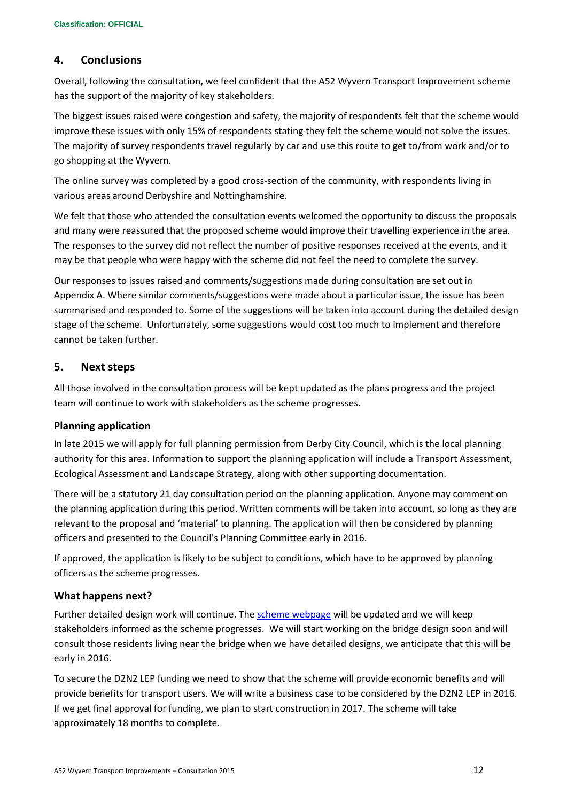# **4. Conclusions**

Overall, following the consultation, we feel confident that the A52 Wyvern Transport Improvement scheme has the support of the majority of key stakeholders.

The biggest issues raised were congestion and safety, the majority of respondents felt that the scheme would improve these issues with only 15% of respondents stating they felt the scheme would not solve the issues. The majority of survey respondents travel regularly by car and use this route to get to/from work and/or to go shopping at the Wyvern.

The online survey was completed by a good cross-section of the community, with respondents living in various areas around Derbyshire and Nottinghamshire.

We felt that those who attended the consultation events welcomed the opportunity to discuss the proposals and many were reassured that the proposed scheme would improve their travelling experience in the area. The responses to the survey did not reflect the number of positive responses received at the events, and it may be that people who were happy with the scheme did not feel the need to complete the survey.

Our responses to issues raised and comments/suggestions made during consultation are set out in Appendix A. Where similar comments/suggestions were made about a particular issue, the issue has been summarised and responded to. Some of the suggestions will be taken into account during the detailed design stage of the scheme. Unfortunately, some suggestions would cost too much to implement and therefore cannot be taken further.

# **5. Next steps**

All those involved in the consultation process will be kept updated as the plans progress and the project team will continue to work with stakeholders as the scheme progresses.

#### **Planning application**

In late 2015 we will apply for full planning permission from Derby City Council, which is the local planning authority for this area. Information to support the planning application will include a Transport Assessment, Ecological Assessment and Landscape Strategy, along with other supporting documentation.

There will be a statutory 21 day consultation period on the planning application. Anyone may comment on the planning application during this period. Written comments will be taken into account, so long as they are relevant to the proposal and 'material' to planning. The application will then be considered by planning officers and presented to the Council's Planning Committee early in 2016.

If approved, the application is likely to be subject to conditions, which have to be approved by planning officers as the scheme progresses.

#### **What happens next?**

Further detailed design work will continue. The [scheme webpage](http://www.derby.gov.uk/a52-improvements) will be updated and we will keep stakeholders informed as the scheme progresses. We will start working on the bridge design soon and will consult those residents living near the bridge when we have detailed designs, we anticipate that this will be early in 2016.

To secure the D2N2 LEP funding we need to show that the scheme will provide economic benefits and will provide benefits for transport users. We will write a business case to be considered by the D2N2 LEP in 2016. If we get final approval for funding, we plan to start construction in 2017. The scheme will take approximately 18 months to complete.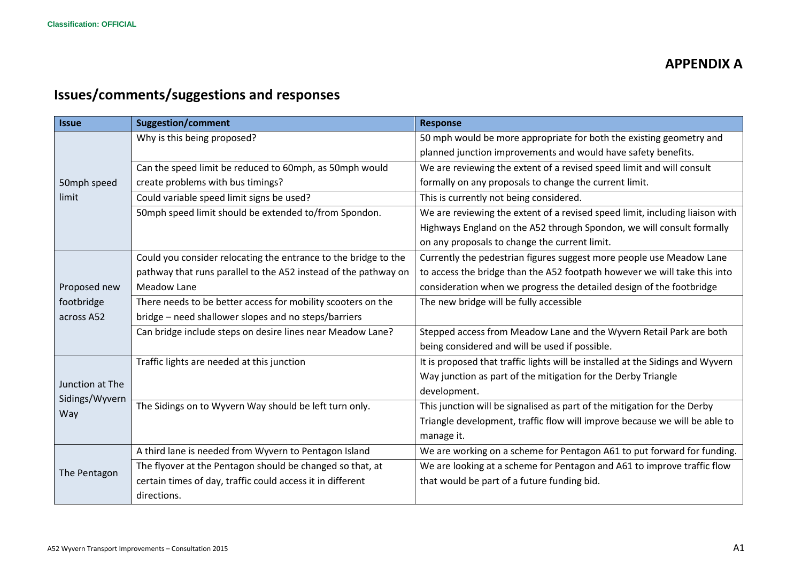# **APPENDIX A**

# **Issues/comments/suggestions and responses**

| <b>Issue</b>    | <b>Suggestion/comment</b>                                       | <b>Response</b>                                                                |
|-----------------|-----------------------------------------------------------------|--------------------------------------------------------------------------------|
|                 | Why is this being proposed?                                     | 50 mph would be more appropriate for both the existing geometry and            |
|                 |                                                                 | planned junction improvements and would have safety benefits.                  |
|                 | Can the speed limit be reduced to 60mph, as 50mph would         | We are reviewing the extent of a revised speed limit and will consult          |
| 50mph speed     | create problems with bus timings?                               | formally on any proposals to change the current limit.                         |
| limit           | Could variable speed limit signs be used?                       | This is currently not being considered.                                        |
|                 | 50mph speed limit should be extended to/from Spondon.           | We are reviewing the extent of a revised speed limit, including liaison with   |
|                 |                                                                 | Highways England on the A52 through Spondon, we will consult formally          |
|                 |                                                                 | on any proposals to change the current limit.                                  |
|                 | Could you consider relocating the entrance to the bridge to the | Currently the pedestrian figures suggest more people use Meadow Lane           |
|                 | pathway that runs parallel to the A52 instead of the pathway on | to access the bridge than the A52 footpath however we will take this into      |
| Proposed new    | Meadow Lane                                                     | consideration when we progress the detailed design of the footbridge           |
| footbridge      | There needs to be better access for mobility scooters on the    | The new bridge will be fully accessible                                        |
| across A52      | bridge – need shallower slopes and no steps/barriers            |                                                                                |
|                 | Can bridge include steps on desire lines near Meadow Lane?      | Stepped access from Meadow Lane and the Wyvern Retail Park are both            |
|                 |                                                                 | being considered and will be used if possible.                                 |
|                 | Traffic lights are needed at this junction                      | It is proposed that traffic lights will be installed at the Sidings and Wyvern |
| Junction at The |                                                                 | Way junction as part of the mitigation for the Derby Triangle                  |
| Sidings/Wyvern  |                                                                 | development.                                                                   |
| Way             | The Sidings on to Wyvern Way should be left turn only.          | This junction will be signalised as part of the mitigation for the Derby       |
|                 |                                                                 | Triangle development, traffic flow will improve because we will be able to     |
|                 |                                                                 | manage it.                                                                     |
|                 | A third lane is needed from Wyvern to Pentagon Island           | We are working on a scheme for Pentagon A61 to put forward for funding.        |
| The Pentagon    | The flyover at the Pentagon should be changed so that, at       | We are looking at a scheme for Pentagon and A61 to improve traffic flow        |
|                 | certain times of day, traffic could access it in different      | that would be part of a future funding bid.                                    |
|                 | directions.                                                     |                                                                                |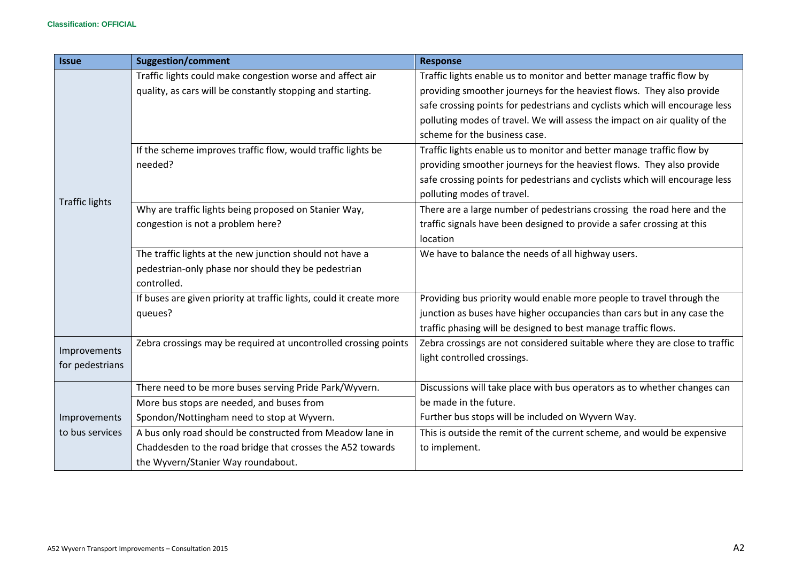| <b>Issue</b>          | <b>Suggestion/comment</b>                                           | <b>Response</b>                                                             |
|-----------------------|---------------------------------------------------------------------|-----------------------------------------------------------------------------|
|                       | Traffic lights could make congestion worse and affect air           | Traffic lights enable us to monitor and better manage traffic flow by       |
|                       | quality, as cars will be constantly stopping and starting.          | providing smoother journeys for the heaviest flows. They also provide       |
|                       |                                                                     | safe crossing points for pedestrians and cyclists which will encourage less |
|                       |                                                                     | polluting modes of travel. We will assess the impact on air quality of the  |
|                       |                                                                     | scheme for the business case.                                               |
|                       | If the scheme improves traffic flow, would traffic lights be        | Traffic lights enable us to monitor and better manage traffic flow by       |
|                       | needed?                                                             | providing smoother journeys for the heaviest flows. They also provide       |
|                       |                                                                     | safe crossing points for pedestrians and cyclists which will encourage less |
| <b>Traffic lights</b> |                                                                     | polluting modes of travel.                                                  |
|                       | Why are traffic lights being proposed on Stanier Way,               | There are a large number of pedestrians crossing the road here and the      |
|                       | congestion is not a problem here?                                   | traffic signals have been designed to provide a safer crossing at this      |
|                       |                                                                     | location                                                                    |
|                       | The traffic lights at the new junction should not have a            | We have to balance the needs of all highway users.                          |
|                       | pedestrian-only phase nor should they be pedestrian                 |                                                                             |
|                       | controlled.                                                         |                                                                             |
|                       | If buses are given priority at traffic lights, could it create more | Providing bus priority would enable more people to travel through the       |
|                       | queues?                                                             | junction as buses have higher occupancies than cars but in any case the     |
|                       |                                                                     | traffic phasing will be designed to best manage traffic flows.              |
| Improvements          | Zebra crossings may be required at uncontrolled crossing points     | Zebra crossings are not considered suitable where they are close to traffic |
| for pedestrians       |                                                                     | light controlled crossings.                                                 |
|                       |                                                                     |                                                                             |
|                       | There need to be more buses serving Pride Park/Wyvern.              | Discussions will take place with bus operators as to whether changes can    |
|                       | More bus stops are needed, and buses from                           | be made in the future.                                                      |
| Improvements          | Spondon/Nottingham need to stop at Wyvern.                          | Further bus stops will be included on Wyvern Way.                           |
| to bus services       | A bus only road should be constructed from Meadow lane in           | This is outside the remit of the current scheme, and would be expensive     |
|                       | Chaddesden to the road bridge that crosses the A52 towards          | to implement.                                                               |
|                       | the Wyvern/Stanier Way roundabout.                                  |                                                                             |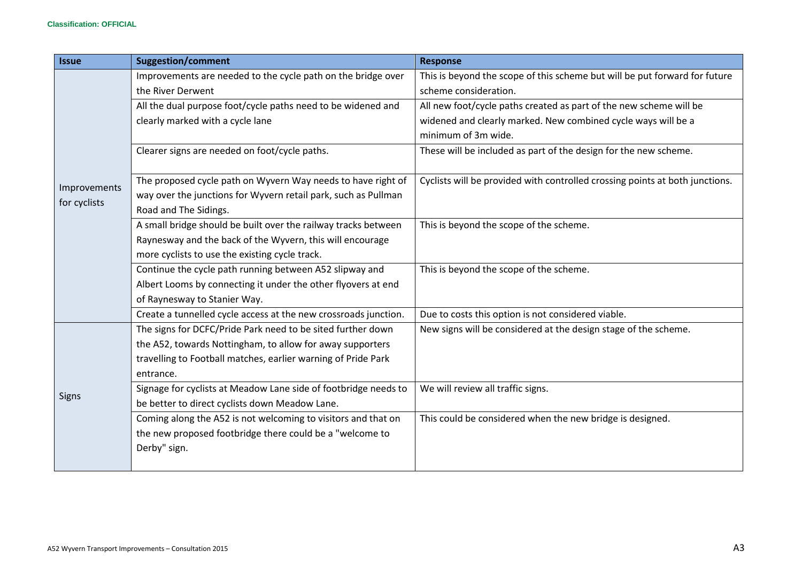| <b>Issue</b> | <b>Suggestion/comment</b>                                       | <b>Response</b>                                                              |
|--------------|-----------------------------------------------------------------|------------------------------------------------------------------------------|
|              | Improvements are needed to the cycle path on the bridge over    | This is beyond the scope of this scheme but will be put forward for future   |
|              | the River Derwent                                               | scheme consideration.                                                        |
|              | All the dual purpose foot/cycle paths need to be widened and    | All new foot/cycle paths created as part of the new scheme will be           |
|              | clearly marked with a cycle lane                                | widened and clearly marked. New combined cycle ways will be a                |
|              |                                                                 | minimum of 3m wide.                                                          |
|              | Clearer signs are needed on foot/cycle paths.                   | These will be included as part of the design for the new scheme.             |
|              |                                                                 |                                                                              |
| Improvements | The proposed cycle path on Wyvern Way needs to have right of    | Cyclists will be provided with controlled crossing points at both junctions. |
| for cyclists | way over the junctions for Wyvern retail park, such as Pullman  |                                                                              |
|              | Road and The Sidings.                                           |                                                                              |
|              | A small bridge should be built over the railway tracks between  | This is beyond the scope of the scheme.                                      |
|              | Raynesway and the back of the Wyvern, this will encourage       |                                                                              |
|              | more cyclists to use the existing cycle track.                  |                                                                              |
|              | Continue the cycle path running between A52 slipway and         | This is beyond the scope of the scheme.                                      |
|              | Albert Looms by connecting it under the other flyovers at end   |                                                                              |
|              | of Raynesway to Stanier Way.                                    |                                                                              |
|              | Create a tunnelled cycle access at the new crossroads junction. | Due to costs this option is not considered viable.                           |
|              | The signs for DCFC/Pride Park need to be sited further down     | New signs will be considered at the design stage of the scheme.              |
|              | the A52, towards Nottingham, to allow for away supporters       |                                                                              |
|              | travelling to Football matches, earlier warning of Pride Park   |                                                                              |
|              | entrance.                                                       |                                                                              |
|              | Signage for cyclists at Meadow Lane side of footbridge needs to | We will review all traffic signs.                                            |
| <b>Signs</b> | be better to direct cyclists down Meadow Lane.                  |                                                                              |
|              | Coming along the A52 is not welcoming to visitors and that on   | This could be considered when the new bridge is designed.                    |
|              | the new proposed footbridge there could be a "welcome to        |                                                                              |
|              | Derby" sign.                                                    |                                                                              |
|              |                                                                 |                                                                              |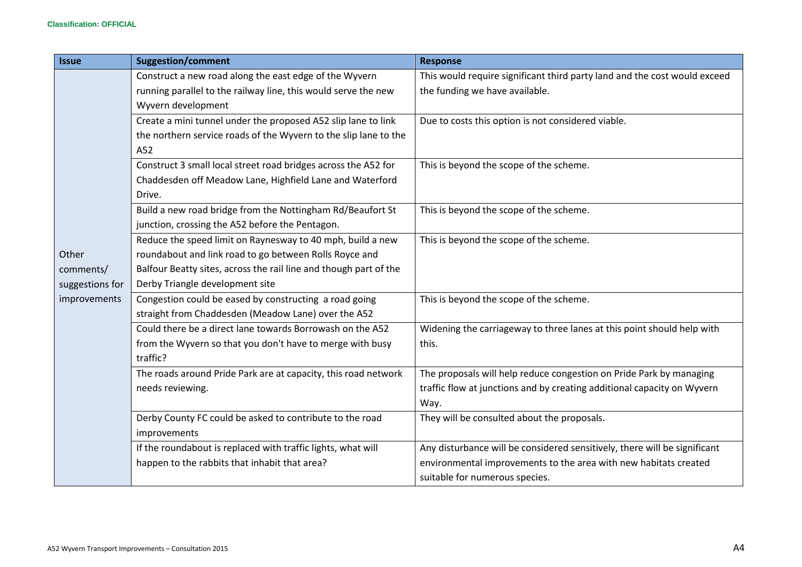| <b>Issue</b>    | <b>Suggestion/comment</b>                                         | <b>Response</b>                                                           |
|-----------------|-------------------------------------------------------------------|---------------------------------------------------------------------------|
|                 | Construct a new road along the east edge of the Wyvern            | This would require significant third party land and the cost would exceed |
|                 | running parallel to the railway line, this would serve the new    | the funding we have available.                                            |
|                 | Wyvern development                                                |                                                                           |
|                 | Create a mini tunnel under the proposed A52 slip lane to link     | Due to costs this option is not considered viable.                        |
|                 | the northern service roads of the Wyvern to the slip lane to the  |                                                                           |
|                 | A52                                                               |                                                                           |
|                 | Construct 3 small local street road bridges across the A52 for    | This is beyond the scope of the scheme.                                   |
|                 | Chaddesden off Meadow Lane, Highfield Lane and Waterford          |                                                                           |
|                 | Drive.                                                            |                                                                           |
|                 | Build a new road bridge from the Nottingham Rd/Beaufort St        | This is beyond the scope of the scheme.                                   |
|                 | junction, crossing the A52 before the Pentagon.                   |                                                                           |
|                 | Reduce the speed limit on Raynesway to 40 mph, build a new        | This is beyond the scope of the scheme.                                   |
| Other           | roundabout and link road to go between Rolls Royce and            |                                                                           |
| comments/       | Balfour Beatty sites, across the rail line and though part of the |                                                                           |
| suggestions for | Derby Triangle development site                                   |                                                                           |
| improvements    | Congestion could be eased by constructing a road going            | This is beyond the scope of the scheme.                                   |
|                 | straight from Chaddesden (Meadow Lane) over the A52               |                                                                           |
|                 | Could there be a direct lane towards Borrowash on the A52         | Widening the carriageway to three lanes at this point should help with    |
|                 | from the Wyvern so that you don't have to merge with busy         | this.                                                                     |
|                 | traffic?                                                          |                                                                           |
|                 | The roads around Pride Park are at capacity, this road network    | The proposals will help reduce congestion on Pride Park by managing       |
|                 | needs reviewing.                                                  | traffic flow at junctions and by creating additional capacity on Wyvern   |
|                 |                                                                   | Way.                                                                      |
|                 | Derby County FC could be asked to contribute to the road          | They will be consulted about the proposals.                               |
|                 | improvements                                                      |                                                                           |
|                 | If the roundabout is replaced with traffic lights, what will      | Any disturbance will be considered sensitively, there will be significant |
|                 | happen to the rabbits that inhabit that area?                     | environmental improvements to the area with new habitats created          |
|                 |                                                                   | suitable for numerous species.                                            |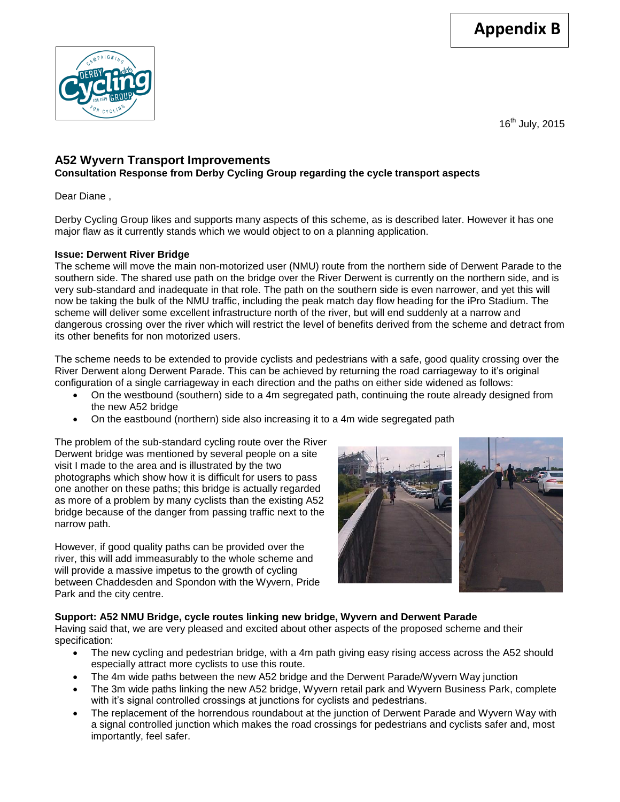

16<sup>th</sup> July, 2015

# **A52 Wyvern Transport Improvements**

**Consultation Response from Derby Cycling Group regarding the cycle transport aspects**

Dear Diane ,

Derby Cycling Group likes and supports many aspects of this scheme, as is described later. However it has one major flaw as it currently stands which we would object to on a planning application.

#### **Issue: Derwent River Bridge**

The scheme will move the main non-motorized user (NMU) route from the northern side of Derwent Parade to the southern side. The shared use path on the bridge over the River Derwent is currently on the northern side, and is very sub-standard and inadequate in that role. The path on the southern side is even narrower, and yet this will now be taking the bulk of the NMU traffic, including the peak match day flow heading for the iPro Stadium. The scheme will deliver some excellent infrastructure north of the river, but will end suddenly at a narrow and dangerous crossing over the river which will restrict the level of benefits derived from the scheme and detract from its other benefits for non motorized users.

The scheme needs to be extended to provide cyclists and pedestrians with a safe, good quality crossing over the River Derwent along Derwent Parade. This can be achieved by returning the road carriageway to it's original configuration of a single carriageway in each direction and the paths on either side widened as follows:

- On the westbound (southern) side to a 4m segregated path, continuing the route already designed from the new A52 bridge
- On the eastbound (northern) side also increasing it to a 4m wide segregated path

The problem of the sub-standard cycling route over the River Derwent bridge was mentioned by several people on a site visit I made to the area and is illustrated by the two photographs which show how it is difficult for users to pass one another on these paths; this bridge is actually regarded as more of a problem by many cyclists than the existing A52 bridge because of the danger from passing traffic next to the narrow path.

However, if good quality paths can be provided over the river, this will add immeasurably to the whole scheme and will provide a massive impetus to the growth of cycling between Chaddesden and Spondon with the Wyvern, Pride Park and the city centre.



# **Support: A52 NMU Bridge, cycle routes linking new bridge, Wyvern and Derwent Parade**

Having said that, we are very pleased and excited about other aspects of the proposed scheme and their specification:

- The new cycling and pedestrian bridge, with a 4m path giving easy rising access across the A52 should especially attract more cyclists to use this route.
- The 4m wide paths between the new A52 bridge and the Derwent Parade/Wyvern Way junction
- The 3m wide paths linking the new A52 bridge, Wyvern retail park and Wyvern Business Park, complete with it's signal controlled crossings at junctions for cyclists and pedestrians.
- The replacement of the horrendous roundabout at the junction of Derwent Parade and Wyvern Way with a signal controlled junction which makes the road crossings for pedestrians and cyclists safer and, most importantly, feel safer.